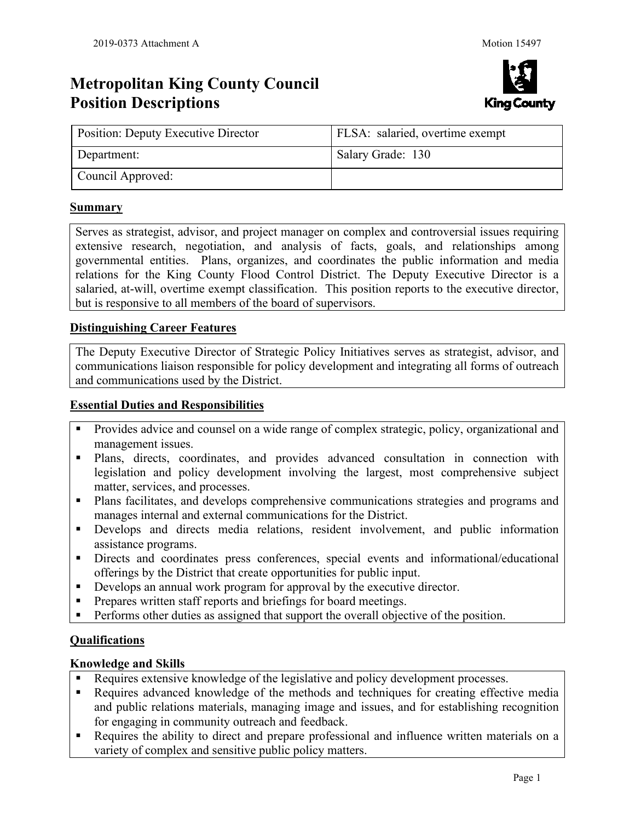# **Metropolitan King County Council Position Descriptions**



| <b>Position: Deputy Executive Director</b> | <b>FLSA:</b> salaried, overtime exempt |
|--------------------------------------------|----------------------------------------|
| Department:                                | Salary Grade: 130                      |
| Council Approved:                          |                                        |

#### **Summary**

Serves as strategist, advisor, and project manager on complex and controversial issues requiring extensive research, negotiation, and analysis of facts, goals, and relationships among governmental entities. Plans, organizes, and coordinates the public information and media relations for the King County Flood Control District. The Deputy Executive Director is a salaried, at-will, overtime exempt classification. This position reports to the executive director, but is responsive to all members of the board of supervisors.

#### **Distinguishing Career Features**

The Deputy Executive Director of Strategic Policy Initiatives serves as strategist, advisor, and communications liaison responsible for policy development and integrating all forms of outreach and communications used by the District.

### **Essential Duties and Responsibilities**

- **Provides advice and counsel on a wide range of complex strategic, policy, organizational and** management issues.
- Plans, directs, coordinates, and provides advanced consultation in connection with legislation and policy development involving the largest, most comprehensive subject matter, services, and processes.
- Plans facilitates, and develops comprehensive communications strategies and programs and manages internal and external communications for the District.
- Develops and directs media relations, resident involvement, and public information assistance programs.
- Directs and coordinates press conferences, special events and informational/educational offerings by the District that create opportunities for public input.
- Develops an annual work program for approval by the executive director.
- **Prepares written staff reports and briefings for board meetings.**
- Performs other duties as assigned that support the overall objective of the position.

# **Qualifications**

#### **Knowledge and Skills**

- Requires extensive knowledge of the legislative and policy development processes.
- Requires advanced knowledge of the methods and techniques for creating effective media and public relations materials, managing image and issues, and for establishing recognition for engaging in community outreach and feedback.
- Requires the ability to direct and prepare professional and influence written materials on a variety of complex and sensitive public policy matters.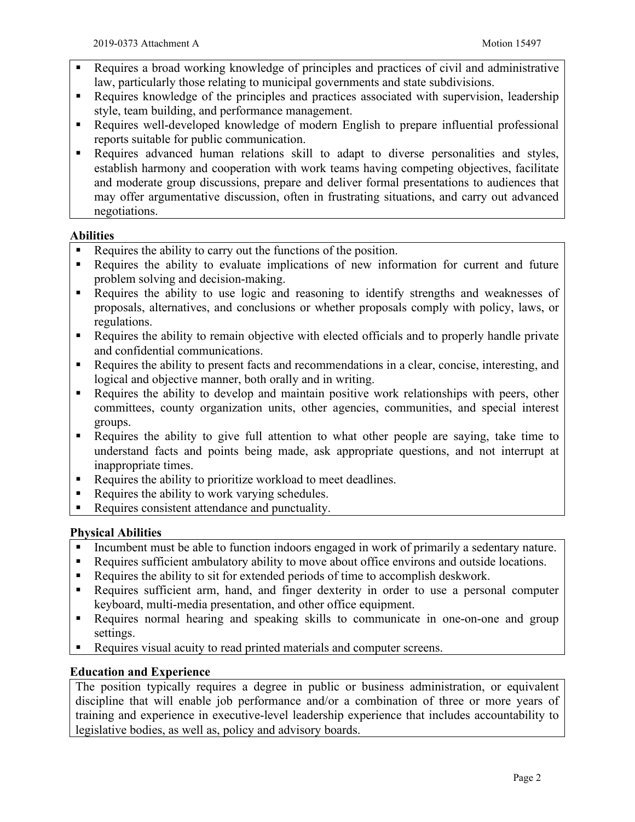- Requires a broad working knowledge of principles and practices of civil and administrative law, particularly those relating to municipal governments and state subdivisions.
- Requires knowledge of the principles and practices associated with supervision, leadership style, team building, and performance management.
- Requires well-developed knowledge of modern English to prepare influential professional reports suitable for public communication.
- Requires advanced human relations skill to adapt to diverse personalities and styles, establish harmony and cooperation with work teams having competing objectives, facilitate and moderate group discussions, prepare and deliver formal presentations to audiences that may offer argumentative discussion, often in frustrating situations, and carry out advanced negotiations.

## **Abilities**

- Requires the ability to carry out the functions of the position.
- Requires the ability to evaluate implications of new information for current and future problem solving and decision-making.
- Requires the ability to use logic and reasoning to identify strengths and weaknesses of proposals, alternatives, and conclusions or whether proposals comply with policy, laws, or regulations.
- Requires the ability to remain objective with elected officials and to properly handle private and confidential communications.
- Requires the ability to present facts and recommendations in a clear, concise, interesting, and logical and objective manner, both orally and in writing.
- Requires the ability to develop and maintain positive work relationships with peers, other committees, county organization units, other agencies, communities, and special interest groups.
- Requires the ability to give full attention to what other people are saying, take time to understand facts and points being made, ask appropriate questions, and not interrupt at inappropriate times.
- Requires the ability to prioritize workload to meet deadlines.
- Requires the ability to work varying schedules.
- Requires consistent attendance and punctuality.

# **Physical Abilities**

- Incumbent must be able to function indoors engaged in work of primarily a sedentary nature.
- Requires sufficient ambulatory ability to move about office environs and outside locations.
- Requires the ability to sit for extended periods of time to accomplish deskwork.
- Requires sufficient arm, hand, and finger dexterity in order to use a personal computer keyboard, multi-media presentation, and other office equipment.
- Requires normal hearing and speaking skills to communicate in one-on-one and group settings.
- Requires visual acuity to read printed materials and computer screens.

#### **Education and Experience**

The position typically requires a degree in public or business administration, or equivalent discipline that will enable job performance and/or a combination of three or more years of training and experience in executive-level leadership experience that includes accountability to legislative bodies, as well as, policy and advisory boards.